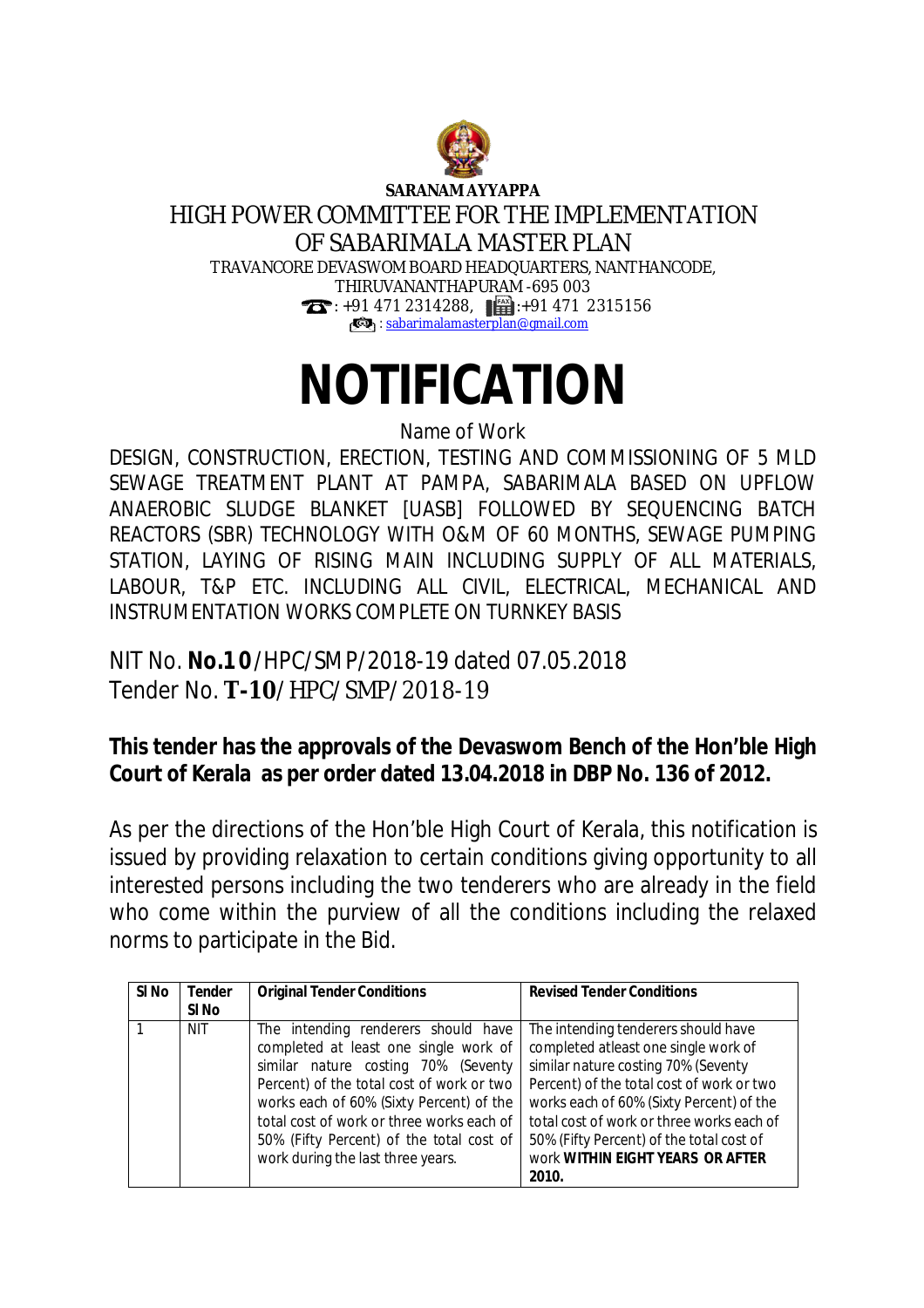

**SARANAM AYYAPPA**

## HIGH POWER COMMITTEE FOR THE IMPLEMENTATION OF SABARIMALA MASTER PLAN TRAVANCORE DEVASWOM BOARD HEADQUARTERS, NANTHANCODE, THIRUVANANTHAPURAM -695 003  $\bullet$ : +91 471 2314288,  $\bullet$  +91 471 2315156 **B**: [sabarimalamasterplan@gmail.com](mailto:sabarimalamasterplan@gmail.com)

## **NOTIFICATION**

Name of Work

DESIGN, CONSTRUCTION, ERECTION, TESTING AND COMMISSIONING OF 5 MLD SEWAGE TREATMENT PLANT AT PAMPA, SABARIMALA BASED ON UPFLOW ANAEROBIC SLUDGE BLANKET [UASB] FOLLOWED BY SEQUENCING BATCH REACTORS (SBR) TECHNOLOGY WITH O&M OF 60 MONTHS, SEWAGE PUMPING STATION, LAYING OF RISING MAIN INCLUDING SUPPLY OF ALL MATERIALS, LABOUR, T&P ETC. INCLUDING ALL CIVIL, ELECTRICAL, MECHANICAL AND INSTRUMENTATION WORKS COMPLETE ON TURNKEY BASIS

NIT No. **No.1 0** /HPC/SMP/2018-19 dated 07.05.2018 Tender No. **T-10**/HPC/SMP/2018-19

## **This tender has the approvals of the Devaswom Bench of the Hon'ble High Court of Kerala as per order dated 13.04.2018 in DBP No. 136 of 2012.**

As per the directions of the Hon'ble High Court of Kerala, this notification is issued by providing relaxation to certain conditions giving opportunity to all interested persons including the two tenderers who are already in the field who come within the purview of all the conditions including the relaxed norms to participate in the Bid.

| SI No | <b>Tender</b> | <b>Original Tender Conditions</b>                                                                                                                                                                                                                                                                                                          | <b>Revised Tender Conditions</b>                                                                                                                                                                                                                                                                                                         |
|-------|---------------|--------------------------------------------------------------------------------------------------------------------------------------------------------------------------------------------------------------------------------------------------------------------------------------------------------------------------------------------|------------------------------------------------------------------------------------------------------------------------------------------------------------------------------------------------------------------------------------------------------------------------------------------------------------------------------------------|
|       | SI No         |                                                                                                                                                                                                                                                                                                                                            |                                                                                                                                                                                                                                                                                                                                          |
|       | <b>NIT</b>    | The intending renderers should have<br>completed at least one single work of<br>similar nature costing 70% (Seventy<br>Percent) of the total cost of work or two<br>works each of 60% (Sixty Percent) of the<br>total cost of work or three works each of<br>50% (Fifty Percent) of the total cost of<br>work during the last three years. | The intending tenderers should have<br>completed atleast one single work of<br>similar nature costing 70% (Seventy<br>Percent) of the total cost of work or two<br>works each of 60% (Sixty Percent) of the<br>total cost of work or three works each of<br>50% (Fifty Percent) of the total cost of<br>work WITHIN EIGHT YEARS OR AFTER |
|       |               |                                                                                                                                                                                                                                                                                                                                            | 2010.                                                                                                                                                                                                                                                                                                                                    |